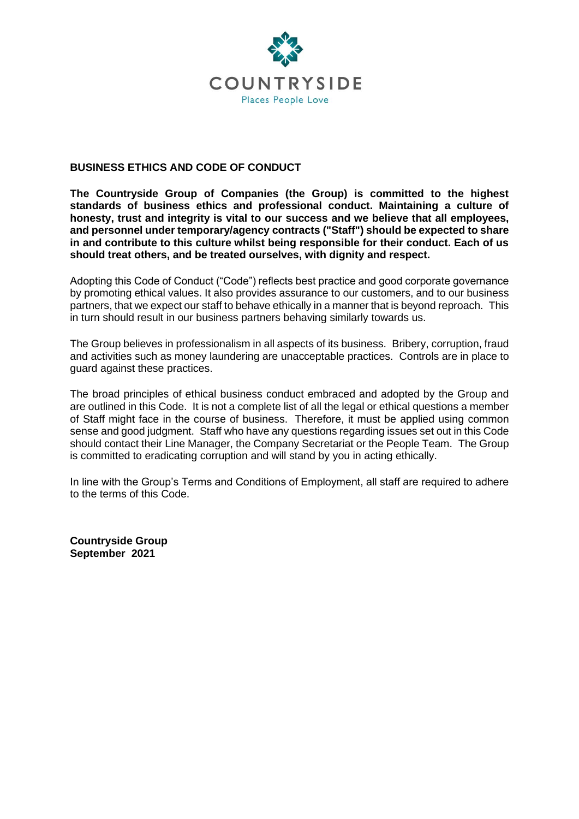

# **BUSINESS ETHICS AND CODE OF CONDUCT**

**The Countryside Group of Companies (the Group) is committed to the highest standards of business ethics and professional conduct. Maintaining a culture of honesty, trust and integrity is vital to our success and we believe that all employees, and personnel under temporary/agency contracts ("Staff") should be expected to share in and contribute to this culture whilst being responsible for their conduct. Each of us should treat others, and be treated ourselves, with dignity and respect.**

Adopting this Code of Conduct ("Code") reflects best practice and good corporate governance by promoting ethical values. It also provides assurance to our customers, and to our business partners, that we expect our staff to behave ethically in a manner that is beyond reproach. This in turn should result in our business partners behaving similarly towards us.

The Group believes in professionalism in all aspects of its business. Bribery, corruption, fraud and activities such as money laundering are unacceptable practices. Controls are in place to guard against these practices.

The broad principles of ethical business conduct embraced and adopted by the Group and are outlined in this Code. It is not a complete list of all the legal or ethical questions a member of Staff might face in the course of business. Therefore, it must be applied using common sense and good judgment. Staff who have any questions regarding issues set out in this Code should contact their Line Manager, the Company Secretariat or the People Team. The Group is committed to eradicating corruption and will stand by you in acting ethically.

In line with the Group's Terms and Conditions of Employment, all staff are required to adhere to the terms of this Code.

**Countryside Group September 2021**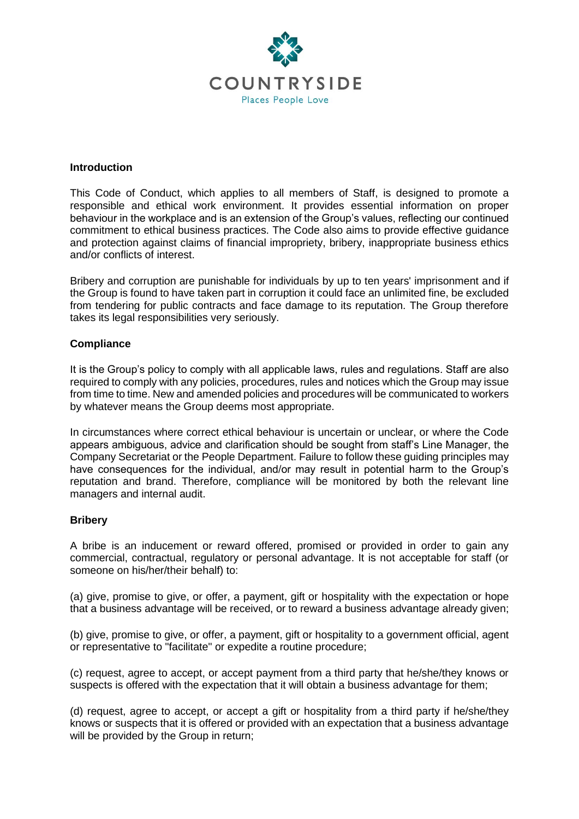

### **Introduction**

This Code of Conduct, which applies to all members of Staff, is designed to promote a responsible and ethical work environment. It provides essential information on proper behaviour in the workplace and is an extension of the Group's values, reflecting our continued commitment to ethical business practices. The Code also aims to provide effective guidance and protection against claims of financial impropriety, bribery, inappropriate business ethics and/or conflicts of interest.

Bribery and corruption are punishable for individuals by up to ten years' imprisonment and if the Group is found to have taken part in corruption it could face an unlimited fine, be excluded from tendering for public contracts and face damage to its reputation. The Group therefore takes its legal responsibilities very seriously.

## **Compliance**

It is the Group's policy to comply with all applicable laws, rules and regulations. Staff are also required to comply with any policies, procedures, rules and notices which the Group may issue from time to time. New and amended policies and procedures will be communicated to workers by whatever means the Group deems most appropriate.

In circumstances where correct ethical behaviour is uncertain or unclear, or where the Code appears ambiguous, advice and clarification should be sought from staff's Line Manager, the Company Secretariat or the People Department. Failure to follow these guiding principles may have consequences for the individual, and/or may result in potential harm to the Group's reputation and brand. Therefore, compliance will be monitored by both the relevant line managers and internal audit.

## **Bribery**

A bribe is an inducement or reward offered, promised or provided in order to gain any commercial, contractual, regulatory or personal advantage. It is not acceptable for staff (or someone on his/her/their behalf) to:

(a) give, promise to give, or offer, a payment, gift or hospitality with the expectation or hope that a business advantage will be received, or to reward a business advantage already given;

(b) give, promise to give, or offer, a payment, gift or hospitality to a government official, agent or representative to "facilitate" or expedite a routine procedure;

(c) request, agree to accept, or accept payment from a third party that he/she/they knows or suspects is offered with the expectation that it will obtain a business advantage for them;

(d) request, agree to accept, or accept a gift or hospitality from a third party if he/she/they knows or suspects that it is offered or provided with an expectation that a business advantage will be provided by the Group in return;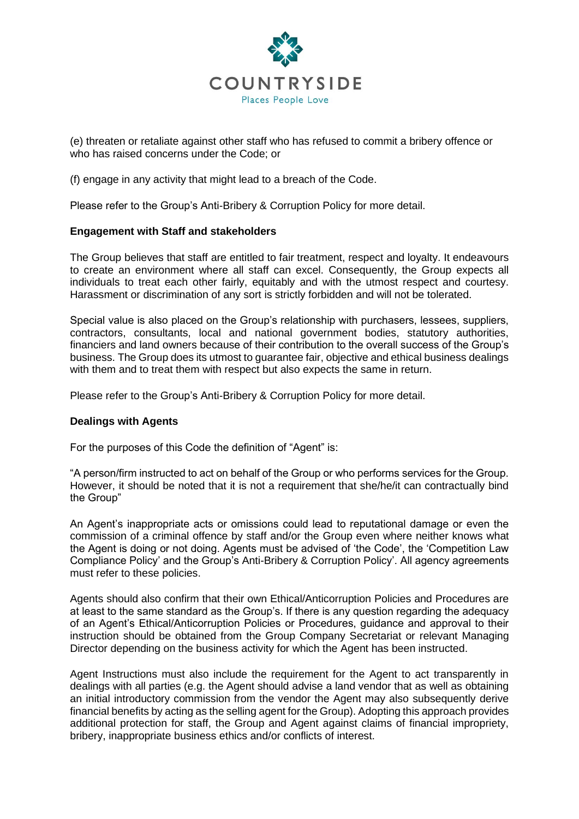

(e) threaten or retaliate against other staff who has refused to commit a bribery offence or who has raised concerns under the Code; or

(f) engage in any activity that might lead to a breach of the Code.

Please refer to the Group's Anti-Bribery & Corruption Policy for more detail.

## **Engagement with Staff and stakeholders**

The Group believes that staff are entitled to fair treatment, respect and loyalty. It endeavours to create an environment where all staff can excel. Consequently, the Group expects all individuals to treat each other fairly, equitably and with the utmost respect and courtesy. Harassment or discrimination of any sort is strictly forbidden and will not be tolerated.

Special value is also placed on the Group's relationship with purchasers, lessees, suppliers, contractors, consultants, local and national government bodies, statutory authorities, financiers and land owners because of their contribution to the overall success of the Group's business. The Group does its utmost to guarantee fair, objective and ethical business dealings with them and to treat them with respect but also expects the same in return.

Please refer to the Group's Anti-Bribery & Corruption Policy for more detail.

## **Dealings with Agents**

For the purposes of this Code the definition of "Agent" is:

"A person/firm instructed to act on behalf of the Group or who performs services for the Group. However, it should be noted that it is not a requirement that she/he/it can contractually bind the Group"

An Agent's inappropriate acts or omissions could lead to reputational damage or even the commission of a criminal offence by staff and/or the Group even where neither knows what the Agent is doing or not doing. Agents must be advised of 'the Code', the 'Competition Law Compliance Policy' and the Group's Anti-Bribery & Corruption Policy'. All agency agreements must refer to these policies.

Agents should also confirm that their own Ethical/Anticorruption Policies and Procedures are at least to the same standard as the Group's. If there is any question regarding the adequacy of an Agent's Ethical/Anticorruption Policies or Procedures, guidance and approval to their instruction should be obtained from the Group Company Secretariat or relevant Managing Director depending on the business activity for which the Agent has been instructed.

Agent Instructions must also include the requirement for the Agent to act transparently in dealings with all parties (e.g. the Agent should advise a land vendor that as well as obtaining an initial introductory commission from the vendor the Agent may also subsequently derive financial benefits by acting as the selling agent for the Group). Adopting this approach provides additional protection for staff, the Group and Agent against claims of financial impropriety, bribery, inappropriate business ethics and/or conflicts of interest.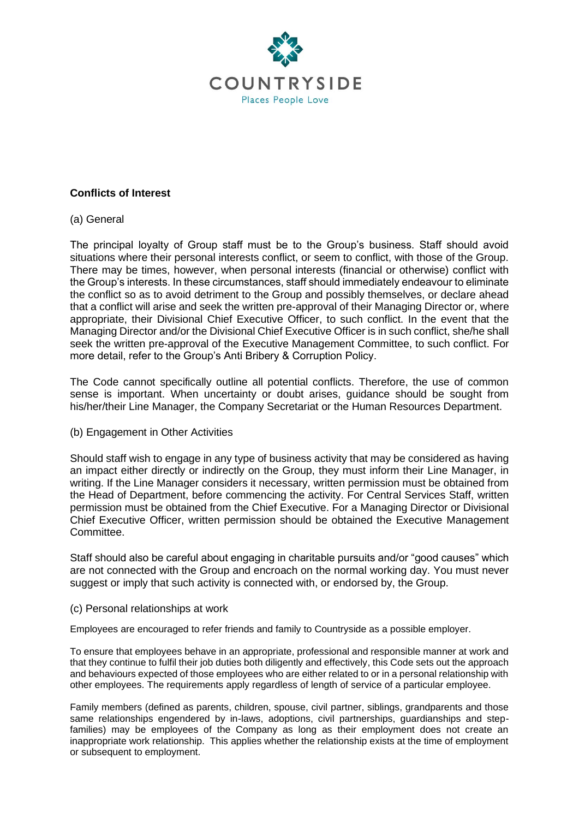

## **Conflicts of Interest**

## (a) General

The principal loyalty of Group staff must be to the Group's business. Staff should avoid situations where their personal interests conflict, or seem to conflict, with those of the Group. There may be times, however, when personal interests (financial or otherwise) conflict with the Group's interests. In these circumstances, staff should immediately endeavour to eliminate the conflict so as to avoid detriment to the Group and possibly themselves, or declare ahead that a conflict will arise and seek the written pre-approval of their Managing Director or, where appropriate, their Divisional Chief Executive Officer, to such conflict. In the event that the Managing Director and/or the Divisional Chief Executive Officer is in such conflict, she/he shall seek the written pre-approval of the Executive Management Committee, to such conflict. For more detail, refer to the Group's Anti Bribery & Corruption Policy.

The Code cannot specifically outline all potential conflicts. Therefore, the use of common sense is important. When uncertainty or doubt arises, guidance should be sought from his/her/their Line Manager, the Company Secretariat or the Human Resources Department.

#### (b) Engagement in Other Activities

Should staff wish to engage in any type of business activity that may be considered as having an impact either directly or indirectly on the Group, they must inform their Line Manager, in writing. If the Line Manager considers it necessary, written permission must be obtained from the Head of Department, before commencing the activity. For Central Services Staff, written permission must be obtained from the Chief Executive. For a Managing Director or Divisional Chief Executive Officer, written permission should be obtained the Executive Management Committee.

Staff should also be careful about engaging in charitable pursuits and/or "good causes" which are not connected with the Group and encroach on the normal working day. You must never suggest or imply that such activity is connected with, or endorsed by, the Group.

#### (c) Personal relationships at work

Employees are encouraged to refer friends and family to Countryside as a possible employer.

To ensure that employees behave in an appropriate, professional and responsible manner at work and that they continue to fulfil their job duties both diligently and effectively, this Code sets out the approach and behaviours expected of those employees who are either related to or in a personal relationship with other employees. The requirements apply regardless of length of service of a particular employee.

Family members (defined as parents, children, spouse, civil partner, siblings, grandparents and those same relationships engendered by in-laws, adoptions, civil partnerships, guardianships and stepfamilies) may be employees of the Company as long as their employment does not create an inappropriate work relationship. This applies whether the relationship exists at the time of employment or subsequent to employment.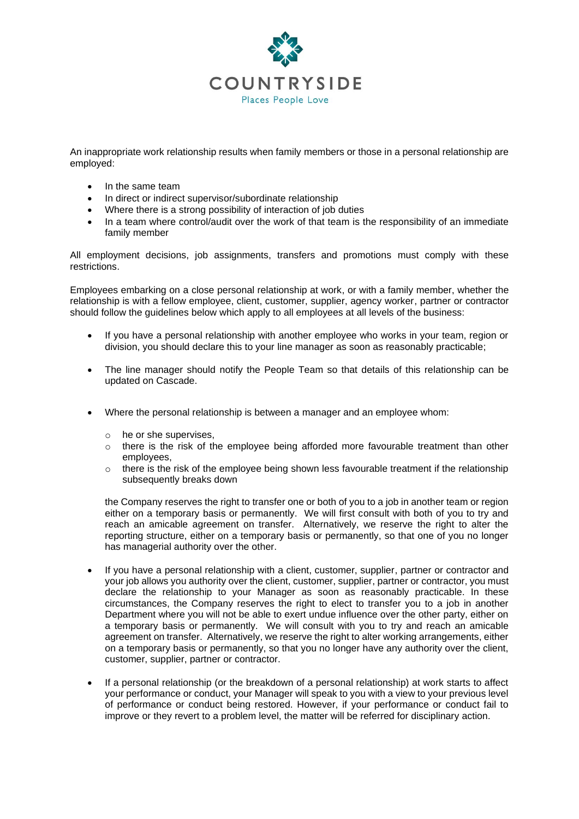

An inappropriate work relationship results when family members or those in a personal relationship are employed:

- In the same team
- In direct or indirect supervisor/subordinate relationship
- Where there is a strong possibility of interaction of job duties
- In a team where control/audit over the work of that team is the responsibility of an immediate family member

All employment decisions, job assignments, transfers and promotions must comply with these restrictions.

Employees embarking on a close personal relationship at work, or with a family member, whether the relationship is with a fellow employee, client, customer, supplier, agency worker, partner or contractor should follow the guidelines below which apply to all employees at all levels of the business:

- If you have a personal relationship with another employee who works in your team, region or division, you should declare this to your line manager as soon as reasonably practicable;
- The line manager should notify the People Team so that details of this relationship can be updated on Cascade.
- Where the personal relationship is between a manager and an employee whom:
	- o he or she supervises,
	- $\circ$  there is the risk of the employee being afforded more favourable treatment than other employees,
	- o there is the risk of the employee being shown less favourable treatment if the relationship subsequently breaks down

the Company reserves the right to transfer one or both of you to a job in another team or region either on a temporary basis or permanently. We will first consult with both of you to try and reach an amicable agreement on transfer. Alternatively, we reserve the right to alter the reporting structure, either on a temporary basis or permanently, so that one of you no longer has managerial authority over the other.

- If you have a personal relationship with a client, customer, supplier, partner or contractor and your job allows you authority over the client, customer, supplier, partner or contractor, you must declare the relationship to your Manager as soon as reasonably practicable. In these circumstances, the Company reserves the right to elect to transfer you to a job in another Department where you will not be able to exert undue influence over the other party, either on a temporary basis or permanently. We will consult with you to try and reach an amicable agreement on transfer. Alternatively, we reserve the right to alter working arrangements, either on a temporary basis or permanently, so that you no longer have any authority over the client, customer, supplier, partner or contractor.
- If a personal relationship (or the breakdown of a personal relationship) at work starts to affect your performance or conduct, your Manager will speak to you with a view to your previous level of performance or conduct being restored. However, if your performance or conduct fail to improve or they revert to a problem level, the matter will be referred for disciplinary action.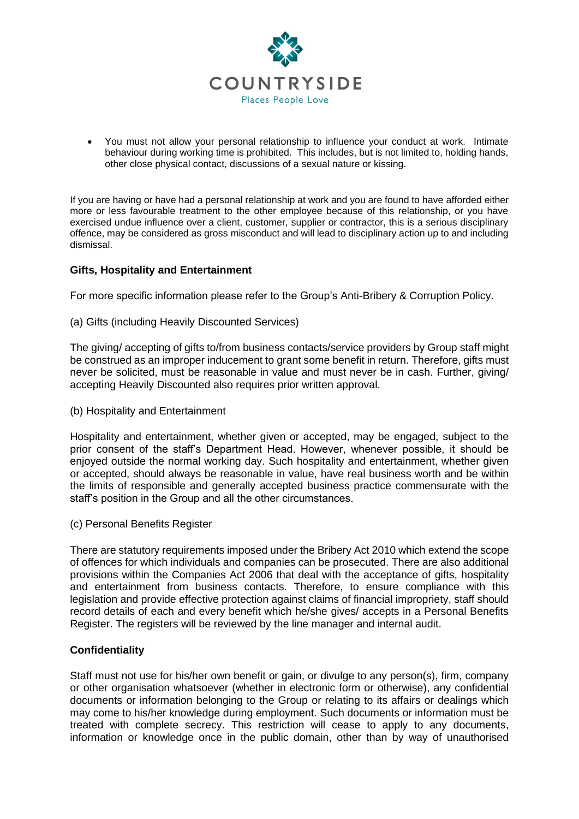

• You must not allow your personal relationship to influence your conduct at work. Intimate behaviour during working time is prohibited. This includes, but is not limited to, holding hands, other close physical contact, discussions of a sexual nature or kissing.

If you are having or have had a personal relationship at work and you are found to have afforded either more or less favourable treatment to the other employee because of this relationship, or you have exercised undue influence over a client, customer, supplier or contractor, this is a serious disciplinary offence, may be considered as gross misconduct and will lead to disciplinary action up to and including dismissal.

## **Gifts, Hospitality and Entertainment**

For more specific information please refer to the Group's Anti-Bribery & Corruption Policy.

(a) Gifts (including Heavily Discounted Services)

The giving/ accepting of gifts to/from business contacts/service providers by Group staff might be construed as an improper inducement to grant some benefit in return. Therefore, gifts must never be solicited, must be reasonable in value and must never be in cash. Further, giving/ accepting Heavily Discounted also requires prior written approval.

(b) Hospitality and Entertainment

Hospitality and entertainment, whether given or accepted, may be engaged, subject to the prior consent of the staff's Department Head. However, whenever possible, it should be enjoyed outside the normal working day. Such hospitality and entertainment, whether given or accepted, should always be reasonable in value, have real business worth and be within the limits of responsible and generally accepted business practice commensurate with the staff's position in the Group and all the other circumstances.

(c) Personal Benefits Register

There are statutory requirements imposed under the Bribery Act 2010 which extend the scope of offences for which individuals and companies can be prosecuted. There are also additional provisions within the Companies Act 2006 that deal with the acceptance of gifts, hospitality and entertainment from business contacts. Therefore, to ensure compliance with this legislation and provide effective protection against claims of financial impropriety, staff should record details of each and every benefit which he/she gives/ accepts in a Personal Benefits Register. The registers will be reviewed by the line manager and internal audit.

## **Confidentiality**

Staff must not use for his/her own benefit or gain, or divulge to any person(s), firm, company or other organisation whatsoever (whether in electronic form or otherwise), any confidential documents or information belonging to the Group or relating to its affairs or dealings which may come to his/her knowledge during employment. Such documents or information must be treated with complete secrecy. This restriction will cease to apply to any documents, information or knowledge once in the public domain, other than by way of unauthorised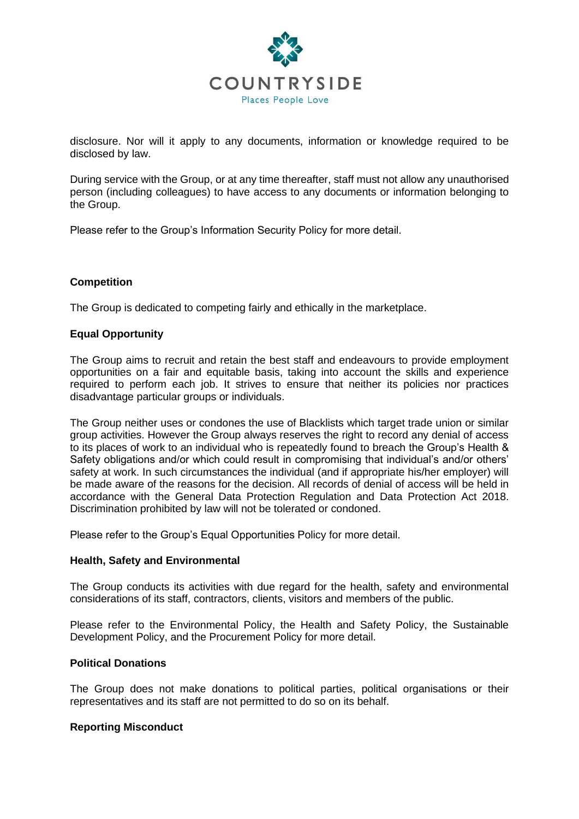

disclosure. Nor will it apply to any documents, information or knowledge required to be disclosed by law.

During service with the Group, or at any time thereafter, staff must not allow any unauthorised person (including colleagues) to have access to any documents or information belonging to the Group.

Please refer to the Group's Information Security Policy for more detail.

## **Competition**

The Group is dedicated to competing fairly and ethically in the marketplace.

## **Equal Opportunity**

The Group aims to recruit and retain the best staff and endeavours to provide employment opportunities on a fair and equitable basis, taking into account the skills and experience required to perform each job. It strives to ensure that neither its policies nor practices disadvantage particular groups or individuals.

The Group neither uses or condones the use of Blacklists which target trade union or similar group activities. However the Group always reserves the right to record any denial of access to its places of work to an individual who is repeatedly found to breach the Group's Health & Safety obligations and/or which could result in compromising that individual's and/or others' safety at work. In such circumstances the individual (and if appropriate his/her employer) will be made aware of the reasons for the decision. All records of denial of access will be held in accordance with the General Data Protection Regulation and Data Protection Act 2018. Discrimination prohibited by law will not be tolerated or condoned.

Please refer to the Group's Equal Opportunities Policy for more detail.

#### **Health, Safety and Environmental**

The Group conducts its activities with due regard for the health, safety and environmental considerations of its staff, contractors, clients, visitors and members of the public.

Please refer to the Environmental Policy, the Health and Safety Policy, the Sustainable Development Policy, and the Procurement Policy for more detail.

#### **Political Donations**

The Group does not make donations to political parties, political organisations or their representatives and its staff are not permitted to do so on its behalf.

#### **Reporting Misconduct**